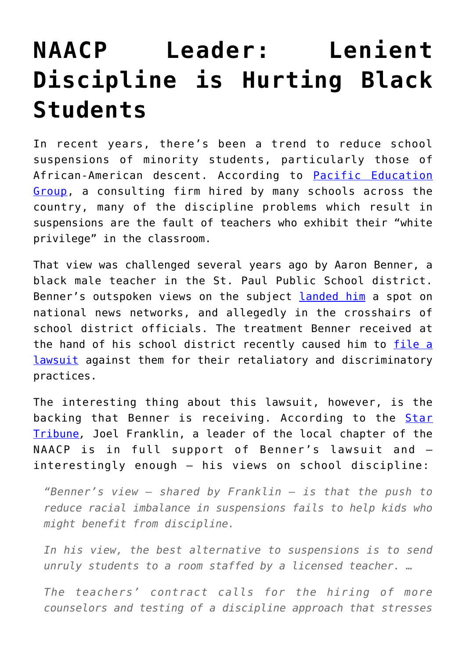## **[NAACP Leader: Lenient](https://intellectualtakeout.org/2017/06/naacp-leader-lenient-discipline-is-hurting-black-students/) [Discipline is Hurting Black](https://intellectualtakeout.org/2017/06/naacp-leader-lenient-discipline-is-hurting-black-students/) [Students](https://intellectualtakeout.org/2017/06/naacp-leader-lenient-discipline-is-hurting-black-students/)**

In recent years, there's been a trend to reduce school suspensions of minority students, particularly those of African-American descent. According to [Pacific Education](https://www.intellectualtakeout.org/blog/what-black-lives-matter-should-protest) [Group](https://www.intellectualtakeout.org/blog/what-black-lives-matter-should-protest), a consulting firm hired by many schools across the country, many of the discipline problems which result in suspensions are the fault of teachers who exhibit their "white privilege" in the classroom.

That view was challenged several years ago by Aaron Benner, a black male teacher in the St. Paul Public School district. Benner's outspoken views on the subject [landed him](http://www.startribune.com/outspoken-st-paul-teacher-takes-criticism-to-new-heights/307755631/) a spot on national news networks, and allegedly in the crosshairs of school district officials. The treatment Benner received at the hand of his school district recently caused him to [file a](http://www.startribune.com/outspoken-teacher-sues-st-paul-schools-over-hostile-work-environment/422031563/) [lawsuit](http://www.startribune.com/outspoken-teacher-sues-st-paul-schools-over-hostile-work-environment/422031563/) against them for their retaliatory and discriminatory practices.

The interesting thing about this lawsuit, however, is the backing that Benner is receiving. According to the **[Star](http://www.startribune.com/st-paul-naacp-enters-fray-in-teacher-s-court-case/425497853/)** [Tribune](http://www.startribune.com/st-paul-naacp-enters-fray-in-teacher-s-court-case/425497853/)*,* Joel Franklin, a leader of the local chapter of the NAACP is in full support of Benner's lawsuit and – interestingly enough – his views on school discipline:

*"Benner's view — shared by Franklin — is that the push to reduce racial imbalance in suspensions fails to help kids who might benefit from discipline.*

*In his view, the best alternative to suspensions is to send unruly students to a room staffed by a licensed teacher. …*

*The teachers' contract calls for the hiring of more counselors and testing of a discipline approach that stresses*